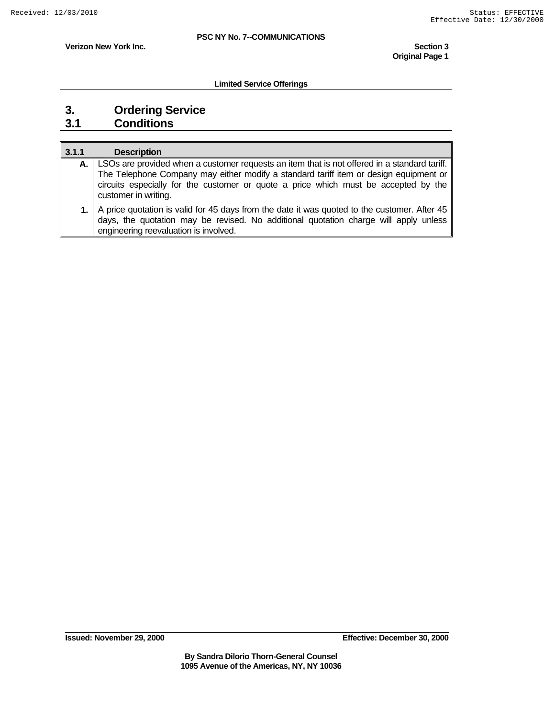**Original Page 1** 

**Verizon New York Inc.** Section 3

**Limited Service Offerings** 

# **3. Ordering Service**

### **3.1 Conditions**

| 3.1.1 | <b>Description</b>                                                                                                                                                                                                            |
|-------|-------------------------------------------------------------------------------------------------------------------------------------------------------------------------------------------------------------------------------|
|       | LSOs are provided when a customer requests an item that is not offered in a standard tariff.                                                                                                                                  |
|       | The Telephone Company may either modify a standard tariff item or design equipment or<br>circuits especially for the customer or quote a price which must be accepted by the<br>customer in writing.                          |
|       | A price quotation is valid for 45 days from the date it was quoted to the customer. After 45<br>days, the quotation may be revised. No additional quotation charge will apply unless<br>engineering reevaluation is involved. |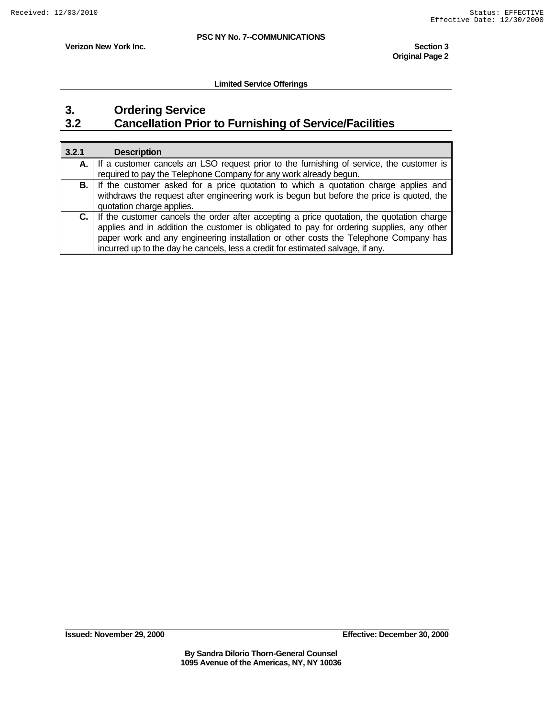**Original Page 2** 

**Verizon New York Inc.** Section 3

**Limited Service Offerings** 

### **3. Ordering Service 3.2 Cancellation Prior to Furnishing of Service/Facilities**

| 3.2.1 | <b>Description</b>                                                                                                                                                                                                                                                                                                                                                |
|-------|-------------------------------------------------------------------------------------------------------------------------------------------------------------------------------------------------------------------------------------------------------------------------------------------------------------------------------------------------------------------|
| А.    | If a customer cancels an LSO request prior to the furnishing of service, the customer is<br>required to pay the Telephone Company for any work already begun.                                                                                                                                                                                                     |
| B. I  | If the customer asked for a price quotation to which a quotation charge applies and<br>withdraws the request after engineering work is begun but before the price is quoted, the<br>quotation charge applies.                                                                                                                                                     |
| C. I  | If the customer cancels the order after accepting a price quotation, the quotation charge<br>applies and in addition the customer is obligated to pay for ordering supplies, any other<br>paper work and any engineering installation or other costs the Telephone Company has<br>incurred up to the day he cancels, less a credit for estimated salvage, if any. |